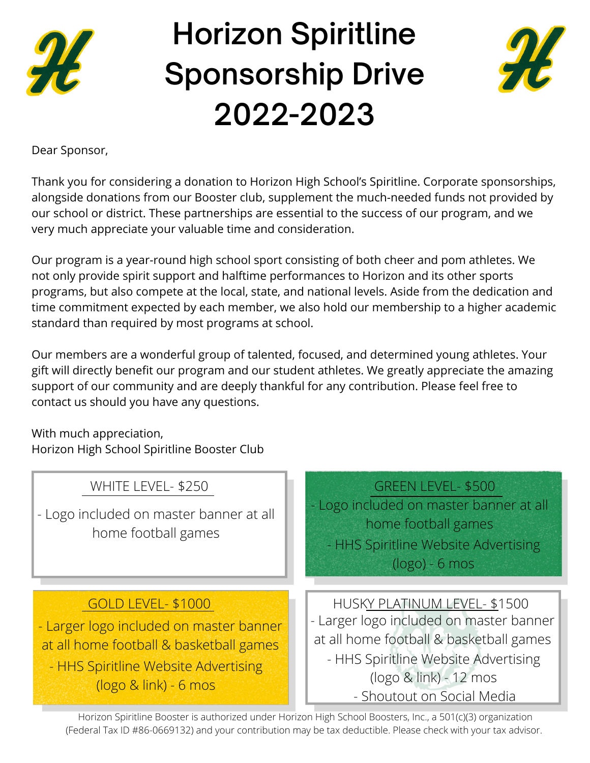

## **Horizon Spiritline Sponsorship Drive 2022-2023**



Dear Sponsor,

Thank you for considering a donation to Horizon High School's Spiritline. Corporate sponsorships, alongside donations from our Booster club, supplement the much-needed funds not provided by our school or district. These partnerships are essential to the success of our program, and we very much appreciate your valuable time and consideration.

Our program is a year-round high school sport consisting of both cheer and pom athletes. We not only provide spirit support and halftime performances to Horizon and its other sports programs, but also compete at the local, state, and national levels. Aside from the dedication and time commitment expected by each member, we also hold our membership to a higher academic standard than required by most programs at school.

Our members are a wonderful group of talented, focused, and determined young athletes. Your gift will directly benefit our program and our student athletes. We greatly appreciate the amazing support of our community and are deeply thankful for any contribution. Please feel free to contact us should you have any questions.

With much appreciation, Horizon High School Spiritline Booster Club

| WHITE LEVEL- \$250<br>- Logo included on master banner at all<br>home football games                                                                                      | <b>GREEN LEVEL- \$500</b><br>- Logo included on master banner at all<br>home football games<br>- HHS Spiritline Website Advertising<br>$(logo) - 6$ mos                                                            |
|---------------------------------------------------------------------------------------------------------------------------------------------------------------------------|--------------------------------------------------------------------------------------------------------------------------------------------------------------------------------------------------------------------|
| GOLD LEVEL- \$1000<br>- Larger logo included on master banner<br>at all home football & basketball games<br>- HHS Spiritline Website Advertising<br>(logo & link) - 6 mos | HUSKY PLATINUM LEVEL- \$1500<br>- Larger logo included on master banner<br>at all home football & basketball games<br>- HHS Spiritline Website Advertising<br>(logo & link) - 12 mos<br>- Shoutout on Social Media |

Horizon Spiritline Booster is authorized under Horizon High School Boosters, Inc., a 501(c)(3) organization (Federal Tax ID #86-0669132) and your contribution may be tax deductible. Please check with your tax advisor.